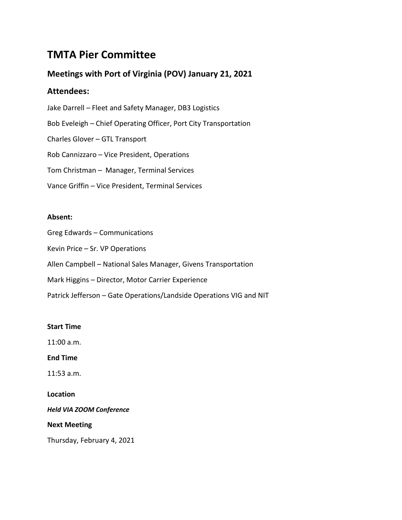# **TMTA Pier Committee**

# **Meetings with Port of Virginia (POV) January 21, 2021**

# **Attendees:**

- Jake Darrell Fleet and Safety Manager, DB3 Logistics Bob Eveleigh – Chief Operating Officer, Port City Transportation Charles Glover – GTL Transport
- Rob Cannizzaro Vice President, Operations
- Tom Christman Manager, Terminal Services
- Vance Griffin Vice President, Terminal Services

# **Absent:**

- Greg Edwards Communications
- Kevin Price Sr. VP Operations
- Allen Campbell National Sales Manager, Givens Transportation
- Mark Higgins Director, Motor Carrier Experience
- Patrick Jefferson Gate Operations/Landside Operations VIG and NIT

## **Start Time**

11:00 a.m.

**End Time**

11:53 a.m.

## **Location**

*Held VIA ZOOM Conference*

## **Next Meeting**

Thursday, February 4, 2021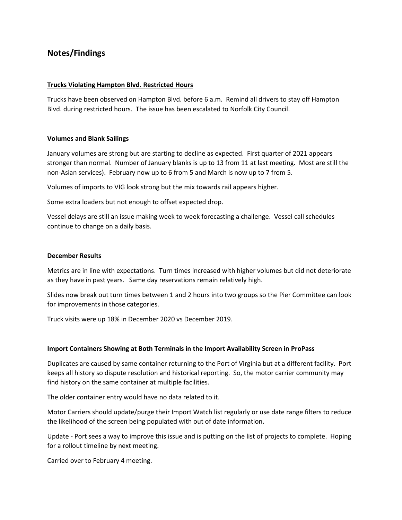# **Notes/Findings**

#### **Trucks Violating Hampton Blvd. Restricted Hours**

Trucks have been observed on Hampton Blvd. before 6 a.m. Remind all drivers to stay off Hampton Blvd. during restricted hours. The issue has been escalated to Norfolk City Council.

#### **Volumes and Blank Sailings**

January volumes are strong but are starting to decline as expected. First quarter of 2021 appears stronger than normal. Number of January blanks is up to 13 from 11 at last meeting. Most are still the non-Asian services). February now up to 6 from 5 and March is now up to 7 from 5.

Volumes of imports to VIG look strong but the mix towards rail appears higher.

Some extra loaders but not enough to offset expected drop.

Vessel delays are still an issue making week to week forecasting a challenge. Vessel call schedules continue to change on a daily basis.

#### **December Results**

Metrics are in line with expectations. Turn times increased with higher volumes but did not deteriorate as they have in past years. Same day reservations remain relatively high.

Slides now break out turn times between 1 and 2 hours into two groups so the Pier Committee can look for improvements in those categories.

Truck visits were up 18% in December 2020 vs December 2019.

#### **Import Containers Showing at Both Terminals in the Import Availability Screen in ProPass**

Duplicates are caused by same container returning to the Port of Virginia but at a different facility. Port keeps all history so dispute resolution and historical reporting. So, the motor carrier community may find history on the same container at multiple facilities.

The older container entry would have no data related to it.

Motor Carriers should update/purge their Import Watch list regularly or use date range filters to reduce the likelihood of the screen being populated with out of date information.

Update - Port sees a way to improve this issue and is putting on the list of projects to complete. Hoping for a rollout timeline by next meeting.

Carried over to February 4 meeting.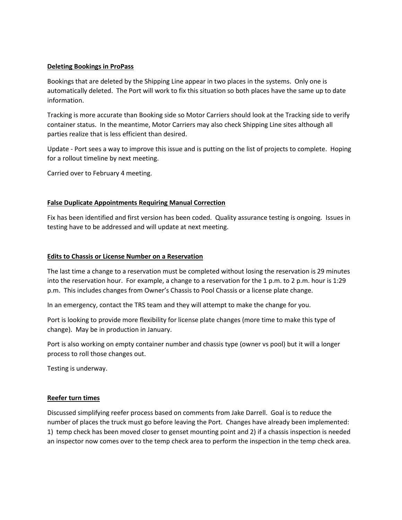#### **Deleting Bookings in ProPass**

Bookings that are deleted by the Shipping Line appear in two places in the systems. Only one is automatically deleted. The Port will work to fix this situation so both places have the same up to date information.

Tracking is more accurate than Booking side so Motor Carriers should look at the Tracking side to verify container status. In the meantime, Motor Carriers may also check Shipping Line sites although all parties realize that is less efficient than desired.

Update - Port sees a way to improve this issue and is putting on the list of projects to complete. Hoping for a rollout timeline by next meeting.

Carried over to February 4 meeting.

#### **False Duplicate Appointments Requiring Manual Correction**

Fix has been identified and first version has been coded. Quality assurance testing is ongoing. Issues in testing have to be addressed and will update at next meeting.

#### **Edits to Chassis or License Number on a Reservation**

The last time a change to a reservation must be completed without losing the reservation is 29 minutes into the reservation hour. For example, a change to a reservation for the 1 p.m. to 2 p.m. hour is 1:29 p.m. This includes changes from Owner's Chassis to Pool Chassis or a license plate change.

In an emergency, contact the TRS team and they will attempt to make the change for you.

Port is looking to provide more flexibility for license plate changes (more time to make this type of change). May be in production in January.

Port is also working on empty container number and chassis type (owner vs pool) but it will a longer process to roll those changes out.

Testing is underway.

#### **Reefer turn times**

Discussed simplifying reefer process based on comments from Jake Darrell. Goal is to reduce the number of places the truck must go before leaving the Port. Changes have already been implemented: 1) temp check has been moved closer to genset mounting point and 2) if a chassis inspection is needed an inspector now comes over to the temp check area to perform the inspection in the temp check area.